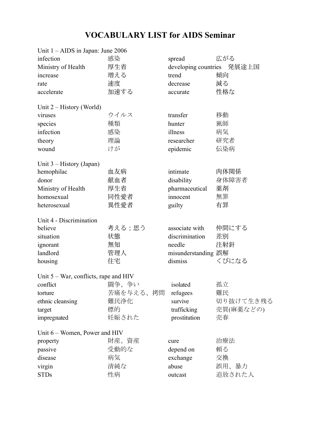## **VOCABULARY LIST for AIDS Seminar**

| Unit 1 - AIDS in Japan: June 2006        |           |                            |           |
|------------------------------------------|-----------|----------------------------|-----------|
| infection                                | 感染        | spread                     | 広がる       |
| Ministry of Health                       | 厚生省       | developing countries 発展途上国 |           |
| increase                                 | 増える       | trend                      | 傾向        |
| rate                                     | 速度        | decrease                   | 減る        |
| accelerate                               | 加速する      | accurate                   | 性格な       |
| Unit $2$ – History (World)               |           |                            |           |
| viruses                                  | ウイルス      | transfer                   | 移動        |
| species                                  | 種類        | hunter                     | 猟師        |
| infection                                | 感染        | illness                    | 病気        |
| theory                                   | 理論        | researcher                 | 研究者       |
| wound                                    | けが        | epidemic                   | 伝染病       |
| Unit 3 – History (Japan)                 |           |                            |           |
| hemophilac                               | 血友病       | intimate                   | 肉体関係      |
| donor                                    | 献血者       | disability                 | 身体障害者     |
| Ministry of Health                       | 厚生省       | pharmaceutical             | 薬剤        |
| homosexual                               | 同性愛者      | innocent                   | 無罪        |
| heterosexual                             | 異性愛者      | guilty                     | 有罪        |
| Unit 4 - Discrimination                  |           |                            |           |
| believe                                  | 考える;思う    | associate with             | 仲間にする     |
| situation                                | 状態        | discrimination             | 差別        |
| ignorant                                 | 無知        | needle                     | 注射針       |
| landlord                                 | 管理人       | misunderstanding 誤解        |           |
| housing                                  | 住宅        | dismiss                    | くびになる     |
| Unit $5 - War$ , conflicts, rape and HIV |           |                            |           |
| confict - 闘争、争い                          |           | isolated                   | 孤立        |
| torture                                  | 苦痛を与える、拷問 | refugees                   | 難民        |
| ethnic cleansing                         | 難民浄化      | survive                    | 切り抜けて生き残る |
| target                                   | 標的        | trafficking                | 売買(麻薬などの) |
| impregnated                              | 妊娠された     | prostitution               | 売春        |
| Unit 6 – Women, Power and HIV            |           |                            |           |
| property                                 | 財産、資産     | cure                       | 治療法       |
| passive                                  | 受動的な      | depend on                  | 頼る        |
| disease                                  | 病気        | exchange                   | 交換        |
| virgin                                   | 清純な       | abuse                      | 誤用、暴力     |
| <b>STDs</b>                              | 性病        | outcast                    | 追放された人    |